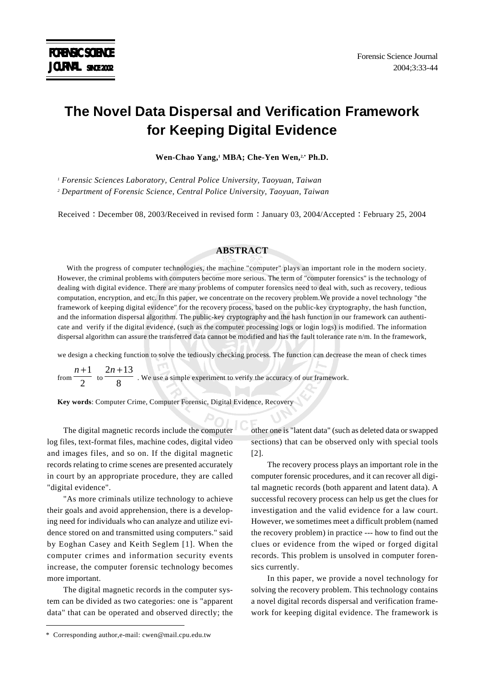# **The Novel Data Dispersal and Verification Framework for Keeping Digital Evidence**

Wen-Chao Yang,<sup>1</sup> MBA; Che-Yen Wen,<sup>2,\*</sup> Ph.D.

*1 Forensic Sciences Laboratory, Central Police University, Taoyuan, Taiwan 2 Department of Forensic Science, Central Police University, Taoyuan, Taiwan*

Received : December 08, 2003/Received in revised form : January 03, 2004/Accepted : February 25, 2004

## **ABSTRACT**

With the progress of computer technologies, the machine "computer" plays an important role in the modern society. However, the criminal problems with computers become more serious. The term of "computer forensics" is the technology of dealing with digital evidence. There are many problems of computer forensics need to deal with, such as recovery, tedious computation, encryption, and etc. In this paper, we concentrate on the recovery problem.We provide a novel technology "the framework of keeping digital evidence" for the recovery process, based on the public-key cryptography, the hash function, and the information dispersal algorithm. The public-key cryptography and the hash function in our framework can authenticate and verify if the digital evidence, (such as the computer processing logs or login logs) is modified. The information dispersal algorithm can assure the transferred data cannot be modified and has the fault tolerance rate n/m. In the framework,

we design a checking function to solve the tediously checking process. The function can decrease the mean of check times

from  $\frac{1}{2}$ *n* +1  $\frac{\text{to } 8}{8}$ 2*n* +13 . We use a simple experiment to verify the accuracy of our framework.

**Key words**: Computer Crime, Computer Forensic, Digital Evidence, Recovery

The digital magnetic records include the computer log files, text-format files, machine codes, digital video and images files, and so on. If the digital magnetic records relating to crime scenes are presented accurately in court by an appropriate procedure, they are called "digital evidence".

"As more criminals utilize technology to achieve their goals and avoid apprehension, there is a developing need for individuals who can analyze and utilize evidence stored on and transmitted using computers." said by Eoghan Casey and Keith Seglem [1]. When the computer crimes and information security events increase, the computer forensic technology becomes more important.

The digital magnetic records in the computer system can be divided as two categories: one is "apparent data" that can be operated and observed directly; the other one is "latent data" (such as deleted data or swapped sections) that can be observed only with special tools [2].

The recovery process plays an important role in the computer forensic procedures, and it can recover all digital magnetic records (both apparent and latent data). A successful recovery process can help us get the clues for investigation and the valid evidence for a law court. However, we sometimes meet a difficult problem (named the recovery problem) in practice --- how to find out the clues or evidence from the wiped or forged digital records. This problem is unsolved in computer forensics currently.

In this paper, we provide a novel technology for solving the recovery problem. This technology contains a novel digital records dispersal and verification framework for keeping digital evidence. The framework is

<sup>\*</sup> Corresponding author,e-mail: cwen@mail.cpu.edu.tw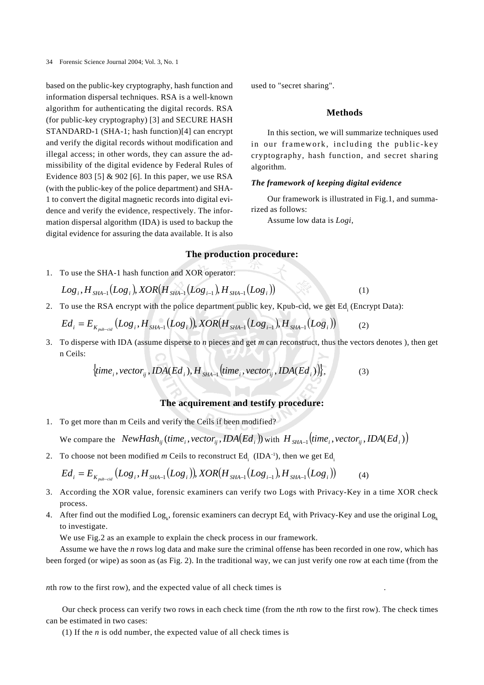based on the public-key cryptography, hash function and information dispersal techniques. RSA is a well-known algorithm for authenticating the digital records. RSA (for public-key cryptography) [3] and SECURE HASH STANDARD-1 (SHA-1; hash function)[4] can encrypt and verify the digital records without modification and illegal access; in other words, they can assure the admissibility of the digital evidence by Federal Rules of Evidence 803 [5]  $& 902$  [6]. In this paper, we use RSA (with the public-key of the police department) and SHA-1 to convert the digital magnetic records into digital evidence and verify the evidence, respectively. The information dispersal algorithm (IDA) is used to backup the digital evidence for assuring the data available. It is also used to "secret sharing".

# **Methods**

In this section, we will summarize techniques used in our framework, including the public-key cryptography, hash function, and secret sharing algorithm.

## *The framework of keeping digital evidence*

Our framework is illustrated in Fig.1, and summarized as follows:

Assume low data is *Logi*,

# **The production procedure:**

1. To use the SHA-1 hash function and XOR operator:

$$
Log_{i}, H_{\rm SHA-1}(Log_{i}), XOR(H_{\rm SHA-1}(Log_{i-1}), H_{\rm SHA-1}(Log_{i})) \qquad (1)
$$

2. To use the RSA encrypt with the police department public key, Kpub-cid, we get Ed<sub>i</sub> (Encrypt Data):

$$
Ed_i = E_{K_{pub-cid}}(Log_i, H_{SHA-1}(Log_i)), XOR(H_{SHA-1}(Log_{i-1}), H_{SHA-1}(Log_i))
$$
(2)

3. To disperse with IDA (assume disperse to *n* pieces and get *m* can reconstruct, thus the vectors denotes ), then get n Ceils:

$$
\{time_i, vector_{ij}, IDA(Ed_i), H_{SHA-1}(time_i, vector_{ij}, IDA(Ed_i))\},\tag{3}
$$

# **The acquirement and testify procedure:**

1. To get more than m Ceils and verify the Ceils if been modified?

We compare the  $NewHash_{ij}$  (time<sub>i</sub>, vector<sub>ii</sub>,  $IDA(Ed_i)$ ) with  $H_{SHA-1}$  (time<sub>i</sub>, vector<sub>ii</sub>,  $IDA(Ed_i)$ )

2. To choose not been modified *m* Ceils to reconstruct  $Ed_i$  (IDA<sup>-1</sup>), then we get  $Ed_i$ 

$$
Ed_{i} = E_{K_{pub-cid}}(Log_{i}, H_{SHA-1}(Log_{i})), XOR(H_{SHA-1}(Log_{i-1}), H_{SHA-1}(Log_{i}))
$$
(4)

- 3. According the XOR value, forensic examiners can verify two Logs with Privacy-Key in a time XOR check process.
- 4. After find out the modified  $Log_k$ , forensic examiners can decrypt  $Ed_k$  with Privacy-Key and use the original  $Log_k$ to investigate.

We use Fig.2 as an example to explain the check process in our framework.

Assume we have the *n* rows log data and make sure the criminal offense has been recorded in one row, which has been forged (or wipe) as soon as (as Fig. 2). In the traditional way, we can just verify one row at each time (from the

*n*th row to the first row), and the expected value of all check times is

Our check process can verify two rows in each check time (from the *n*th row to the first row). The check times can be estimated in two cases:

(1) If the *n* is odd number, the expected value of all check times is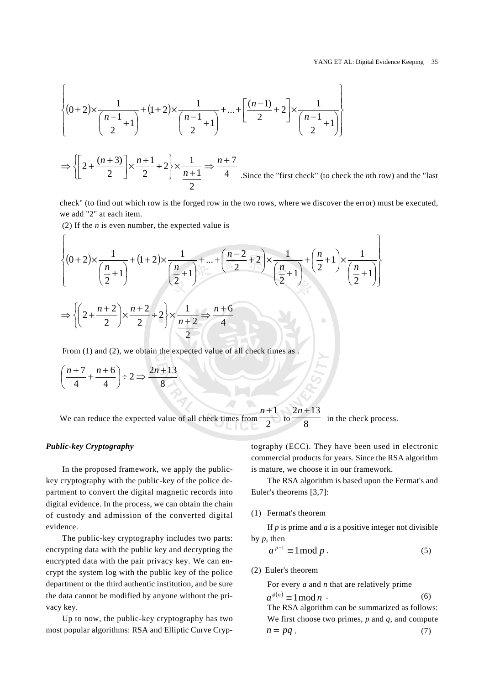$\mathcal{L}$ 

$$
\left\{ (0+2) \times \frac{1}{\left(\frac{n-1}{2}+1\right)} + (1+2) \times \frac{1}{\left(\frac{n-1}{2}+1\right)} + \dots + \left[\frac{(n-1)}{2}+2\right] \times \frac{1}{\left(\frac{n-1}{2}+1\right)} \right\}
$$

4 7 2 1  $2 \times \frac{1}{2}$ 2 1 2  $2+\frac{(n+3)}{2} \times \frac{n+1}{2} \div 2 \times \frac{1}{n+1} \Rightarrow \frac{n+1}{n+1}$ + × ⎭  $\left\{ \right\}$  $\vert$  $\overline{\mathcal{L}}$ ⎨  $\sqrt{2}$  $\left[2+\frac{(n+3)}{2}\right] \times \frac{n+1}{2}$  $\Rightarrow \left\{ \left[ 2 + \frac{(n+3)}{2} \right] \times \frac{n+1}{2} \div 2 \right\} \times \frac{1}{n+1} \Rightarrow \frac{n}{2}$ *n*  $n+3)$ , n .Since the "first check" (to check the *n*th row) and the "last

check" (to find out which row is the forged row in the two rows, where we discover the error) must be executed, we add "2" at each item.

(2) If the *n* is even number, the expected value is

$$
\left\{ (0+2) \times \frac{1}{\left(\frac{n}{2}+1\right)} + (1+2) \times \frac{1}{\left(\frac{n}{2}+1\right)} + \dots + \left(\frac{n-2}{2}+2\right) \times \frac{1}{\left(\frac{n}{2}+1\right)} + \left(\frac{n}{2}+1\right) \times \frac{1}{\left(\frac{n}{2}+1\right)} \right\}
$$
  

$$
\Rightarrow \left\{ \left(2 + \frac{n+2}{2}\right) \times \frac{n+2}{2} + 2 \right\} \times \frac{1}{\frac{n+2}{2}} \Rightarrow \frac{n+6}{4}
$$

From (1) and (2), we obtain the expected value of all check times as .

$$
\left(\frac{n+7}{4} + \frac{n+6}{4}\right) \div 2 \Rightarrow \frac{2n+13}{8}
$$

We can reduce the expected value of all check times from *n* +1  $\frac{10}{8}$  $2n + 13$ in the check process.

#### *Public-key Cryptography*

 $\sqrt{ }$ 

In the proposed framework, we apply the publickey cryptography with the public-key of the police department to convert the digital magnetic records into digital evidence. In the process, we can obtain the chain of custody and admission of the converted digital evidence.

The public-key cryptography includes two parts: encrypting data with the public key and decrypting the encrypted data with the pair privacy key. We can encrypt the system log with the public key of the police department or the third authentic institution, and be sure the data cannot be modified by anyone without the privacy key.

Up to now, the public-key cryptography has two most popular algorithms: RSA and Elliptic Curve Cryptography (ECC). They have been used in electronic commercial products for years. Since the RSA algorithm is mature, we choose it in our framework.

The RSA algorithm is based upon the Fermat's and Euler's theorems [3,7]:

#### (1) Fermat's theorem

If *p* is prime and *a* is a positive integer not divisible by *p*, then

$$
a^{p-1} \equiv 1 \bmod p \tag{5}
$$

(2) Euler's theorem

For every *a* and *n* that are relatively prime

 $a^{\phi(n)} \equiv 1 \mod n$  (6) The RSA algorithm can be summarized as follows: We first choose two primes, *p* and *q*, and compute  $n = pq$ . (7)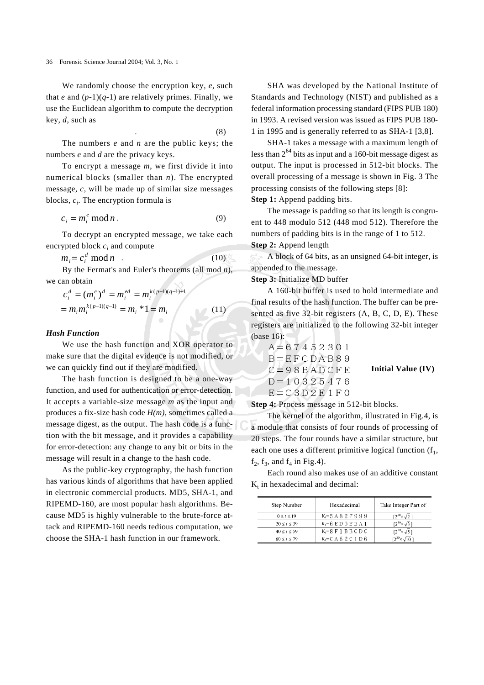We randomly choose the encryption key, *e*, such that *e* and  $(p-1)(q-1)$  are relatively primes. Finally, we use the Euclidean algorithm to compute the decryption key, *d*, such as

.  $(8)$ 

The numbers *e* and *n* are the public keys; the numbers *e* and *d* are the privacy keys.

To encrypt a message *m*, we first divide it into numerical blocks (smaller than *n*). The encrypted message, *c*, will be made up of similar size messages blocks, *ci*. The encryption formula is

$$
c_i = m_i^e \mod n \tag{9}
$$

To decrypt an encrypted message, we take each encrypted block *ci* and compute

 $m_i = c_i^d \mod n$  (10)

By the Fermat's and Euler's theorems (all mod *n*), we can obtain  $\sim$ 

$$
c_i^d = (m_i^e)^d = m_i^{ed} = m_i^{k(p-1)(q-1)+1}
$$
  
=  $m_i m_i^{k(p-1)(q-1)} = m_i * 1 = m_i$  (11)

## *Hash Function*

We use the hash function and XOR operator to make sure that the digital evidence is not modified, or we can quickly find out if they are modified.

The hash function is designed to be a one-way function, and used for authentication or error-detection. It accepts a variable-size message *m* as the input and produces a fix-size hash code *H(m)*, sometimes called a message digest, as the output. The hash code is a function with the bit message, and it provides a capability for error-detection: any change to any bit or bits in the message will result in a change to the hash code.

As the public-key cryptography, the hash function has various kinds of algorithms that have been applied in electronic commercial products. MD5, SHA-1, and RIPEMD-160, are most popular hash algorithms. Because MD5 is highly vulnerable to the brute-force attack and RIPEMD-160 needs tedious computation, we choose the SHA-1 hash function in our framework.

SHA was developed by the National Institute of Standards and Technology (NIST) and published as a federal information processing standard (FIPS PUB 180) in 1993. A revised version was issued as FIPS PUB 180- 1 in 1995 and is generally referred to as SHA-1 [3,8].

SHA-1 takes a message with a maximum length of less than  $2^{64}$  bits as input and a 160-bit message digest as output. The input is processed in 512-bit blocks. The overall processing of a message is shown in Fig. 3 The processing consists of the following steps [8]:

Step 1: Append padding bits.

The message is padding so that its length is congruent to 448 modulo 512 (448 mod 512). Therefore the numbers of padding bits is in the range of 1 to 512. **Step 2:** Append length

A block of 64 bits, as an unsigned 64-bit integer, is appended to the message.

#### **Step 3:** Initialize MD buffer

A 160-bit buffer is used to hold intermediate and final results of the hash function. The buffer can be presented as five 32-bit registers (A, B, C, D, E). These registers are initialized to the following 32-bit integer (base 16):

$$
A = 67452301
$$
  
B=E F C D A B 8 9  
C = 98 B A D C F E  
D = 10325476  
E = C3 D2 E 1 F 0

**Initial Value (IV)**

**Step 4:** Process message in 512-bit blocks.

The kernel of the algorithm, illustrated in Fig.4, is a module that consists of four rounds of processing of 20 steps. The four rounds have a similar structure, but each one uses a different primitive logical function  $(f_1, f_2)$  $f_2$ ,  $f_3$ , and  $f_4$  in Fig.4).

Each round also makes use of an additive constant  $K_t$  in hexadecimal and decimal:

| Step Number        | Hexadecimal             | Take Integer Part of        |
|--------------------|-------------------------|-----------------------------|
| $0 \leq t \leq 19$ | $K = 5A827999$          | $12^{30} \times \sqrt{2}1$  |
| 20 < t < 39        | $K = 6 E D 9 E B A 1$   | $12^{30} \times \sqrt{3}1$  |
| $40 \le t \le 59$  | $K_i = 8 F 1 B B C D C$ | $12^{30} \times \sqrt{5}$ 1 |
| $60 \le t \le 79$  | $K = C A 6 2 C 1 D 6$   | $12^{30} \times \sqrt{101}$ |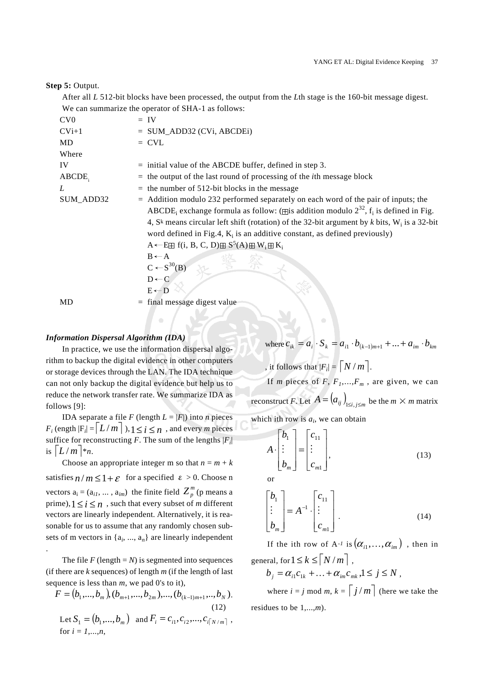#### **Step 5:** Output.

After all *L* 512-bit blocks have been processed, the output from the *L*th stage is the 160-bit message digest. We can summarize the operator of SHA-1 as follows:

| CV <sub>0</sub> | $=$ IV                                                                                                                      |
|-----------------|-----------------------------------------------------------------------------------------------------------------------------|
| $CVi+1$         | $=$ SUM_ADD32 (CVi, ABCDEi)                                                                                                 |
| <b>MD</b>       | $=$ CVL                                                                                                                     |
| Where           |                                                                                                                             |
| IV              | $=$ initial value of the ABCDE buffer, defined in step 3.                                                                   |
| ABCDE.          | the output of the last round of processing of the <i>i</i> th message block                                                 |
| L               | the number of 512-bit blocks in the message                                                                                 |
| SUM_ADD32       | $=$ Addition modulo 232 performed separately on each word of the pair of inputs; the                                        |
|                 | ABCDE <sub>i</sub> exchange formula as follow: ( $\boxplus$ is addition modulo $2^{32}$ , f <sub>i</sub> is defined in Fig. |
|                 | 4, S <sup>k</sup> means circular left shift (rotation) of the 32-bit argument by k bits, $W_i$ is a 32-bit                  |
|                 | word defined in Fig.4, $K_i$ is an additive constant, as defined previously)                                                |
|                 | $A \leftarrow$ E if $(i, B, C, D) \boxplus S^5(A) \boxplus W_i \boxplus K_i$                                                |
|                 | $B \leftarrow A$                                                                                                            |
|                 | $C \leftarrow S^{30}(B)$                                                                                                    |
|                 | $D \leftarrow C$                                                                                                            |
|                 | $E \leftarrow D$                                                                                                            |
| MD              | final message digest value                                                                                                  |
|                 | <b>Santa</b>                                                                                                                |

## *Information Dispersal Algorithm (IDA)*

In practice, we use the information dispersal algorithm to backup the digital evidence in other computers or storage devices through the LAN. The IDA technique can not only backup the digital evidence but help us to reduce the network transfer rate. We summarize IDA as follows [9]:

IDA separate a file *F* (length  $L = |F|$ ) into *n* pieces  $F_i$  (ength  $|F_i| = |L/m|$ ),  $1 \le i \le n$ , and every *m* pieces suffice for reconstructing *F*. The sum of the lengths  $|F_i|$ is  $\lfloor L/m \rfloor$ <sup>\*</sup>*n*.

Choose an appropriate integer m so that  $n = m + k$ satisfies  $n/m \leq 1+\varepsilon$  for a specified  $\varepsilon > 0$ . Choose n vectors  $a_i = (a_{i1}, \dots, a_{im})$  the finite field  $Z_p^m$  (p means a prime), $1 \le i \le n$ , such that every subset of *m* different vectors are linearly independent. Alternatively, it is reasonable for us to assume that any randomly chosen subsets of m vectors in  $\{a_i, ..., a_n\}$  are linearly independent

The file  $F$  (length =  $N$ ) is segmented into sequences (if there are *k* sequences) of length *m* (if the length of last sequence is less than *m*, we pad 0's to it),

.

$$
F = (b_1, ..., b_m), (b_{m+1}, ..., b_{2m}), ..., (b_{(k-1)m+1}, ..., b_N).
$$
\n(12)  
\nLet  $S_1 = (b_1, ..., b_m)$  and  $F_i = c_{i1}, c_{i2}, ..., c_{i\lceil N/m \rceil}$ ,  
\nfor  $i = 1, ..., n$ ,

where  $c_{ik} = a_i \cdot S_k = a_{i1} \cdot b_{(k-1)m+1} + ... + a_{im} \cdot b_{km}$ , it follows that  $|F_i| = \lfloor N/m \rfloor$ . If *m* pieces of *F*,  $F_1$ ,..., $F_m$ , are given, we can reconstruct *F*. Let  $A = (a_{ij})_{1 \le i \le m}$  be the  $m \times m$  matrix

which ith row is  $a_i$ , we can obtain

$$
A \cdot \begin{bmatrix} b_1 \\ \vdots \\ b_m \end{bmatrix} = \begin{bmatrix} c_{11} \\ \vdots \\ c_{m1} \end{bmatrix}, \tag{13}
$$

or

$$
\begin{bmatrix} b_1 \\ \vdots \\ b_m \end{bmatrix} = A^{-1} \cdot \begin{bmatrix} c_{11} \\ \vdots \\ c_{m1} \end{bmatrix} . \tag{14}
$$

If the ith row of A<sup>-1</sup> is  $(\alpha_1, \ldots, \alpha_m)$ , then in general, for  $1 \leq k \leq \lceil N/m \rceil$ ,

 $b_i = \alpha_{i1} c_{1k} + ... + \alpha_{im} c_{mk}$ ,  $1 \le j \le N$ ,

where  $i = j \mod m$ ,  $k = \lceil j/m \rceil$  (here we take the residues to be 1,...,*m*).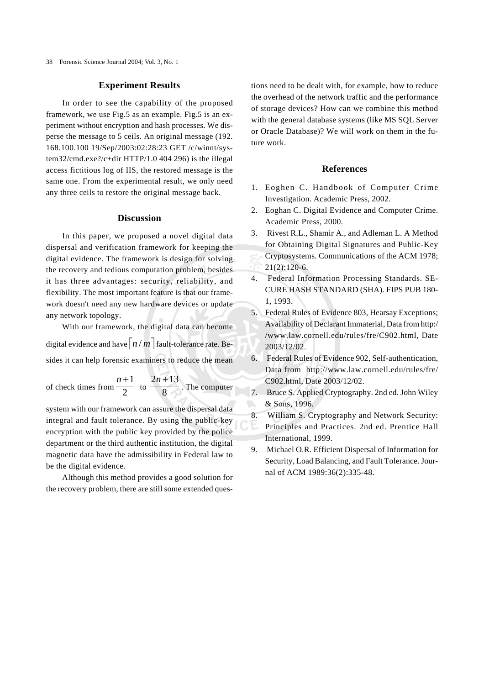## **Experiment Results**

In order to see the capability of the proposed framework, we use Fig.5 as an example. Fig.5 is an experiment without encryption and hash processes. We disperse the message to 5 ceils. An original message (192. 168.100.100 19/Sep/2003:02:28:23 GET /c/winnt/system32/cmd.exe?/c+dir HTTP/1.0 404 296) is the illegal access fictitious log of IIS, the restored message is the same one. From the experimental result, we only need any three ceils to restore the original message back.

## **Discussion**

In this paper, we proposed a novel digital data dispersal and verification framework for keeping the digital evidence. The framework is design for solving the recovery and tedious computation problem, besides it has three advantages: security, reliability, and flexibility. The most important feature is that our framework doesn't need any new hardware devices or update any network topology.

With our framework, the digital data can become digital evidence and have  $\lceil n/m \rceil$  fault-tolerance rate. Besides it can help forensic examiners to reduce the mean

of check times from  $\frac{1}{2}$ *n* +1  $\frac{10}{8}$ 2*n* +13 . The computer

system with our framework can assure the dispersal data integral and fault tolerance. By using the public-key encryption with the public key provided by the police department or the third authentic institution, the digital magnetic data have the admissibility in Federal law to be the digital evidence.

Although this method provides a good solution for the recovery problem, there are still some extended questions need to be dealt with, for example, how to reduce the overhead of the network traffic and the performance of storage devices? How can we combine this method with the general database systems (like MS SQL Server or Oracle Database)? We will work on them in the future work.

## **References**

- 1. Eoghen C. Handbook of Computer Crime Investigation. Academic Press, 2002.
- 2. Eoghan C. Digital Evidence and Computer Crime. Academic Press, 2000.
- 3. Rivest R.L., Shamir A., and Adleman L. A Method for Obtaining Digital Signatures and Public-Key Cryptosystems. Communications of the ACM 1978; 21(2):120-6.
- 4. Federal Information Processing Standards. SE-CURE HASH STANDARD (SHA). FIPS PUB 180- 1, 1993.
- 5. Federal Rules of Evidence 803, Hearsay Exceptions; Availability of Declarant Immaterial, Data from http:/ /www.law.cornell.edu/rules/fre/C902.html, Date 2003/12/02.
- 6. Federal Rules of Evidence 902, Self-authentication, Data from http://www.law.cornell.edu/rules/fre/ C902.html, Date 2003/12/02.
- 7. Bruce S. Applied Cryptography. 2nd ed. John Wiley & Sons, 1996.
- 8. William S. Cryptography and Network Security: Principles and Practices. 2nd ed. Prentice Hall International, 1999.
- 9. Michael O.R. Efficient Dispersal of Information for Security, Load Balancing, and Fault Tolerance. Journal of ACM 1989:36(2):335-48.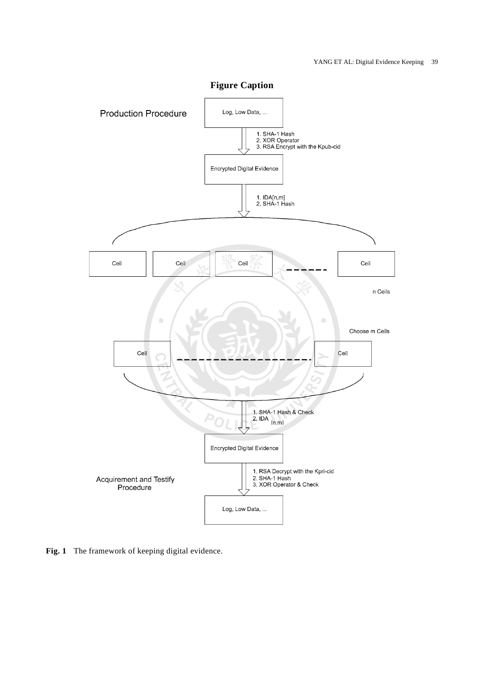

**Figure Caption**

**Fig. 1** The framework of keeping digital evidence.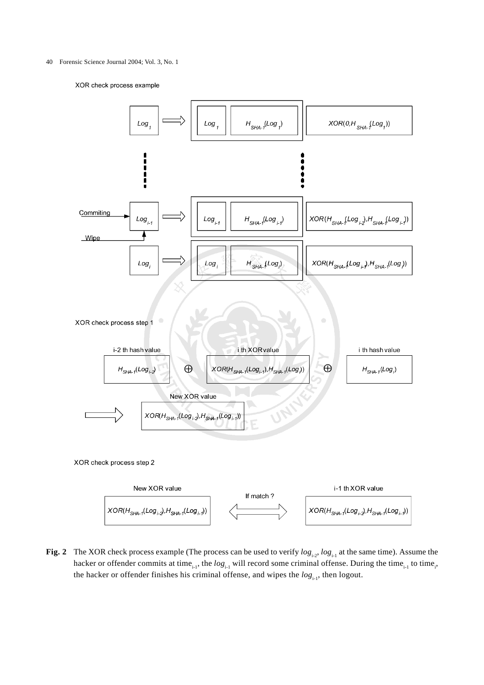#### 40 Forensic Science Journal 2004; Vol. 3, No. 1

XOR check process example



**Fig. 2** The XOR check process example (The process can be used to verify  $log_{1.2}$ ,  $log_{1.1}$  at the same time). Assume the hacker or offender commits at time<sub>i-1</sub>, the  $log_{i-1}$  will record some criminal offense. During the time<sub>i-1</sub> to time<sub>i</sub>, the hacker or offender finishes his criminal offense, and wipes the  $log_{11}$ , then logout.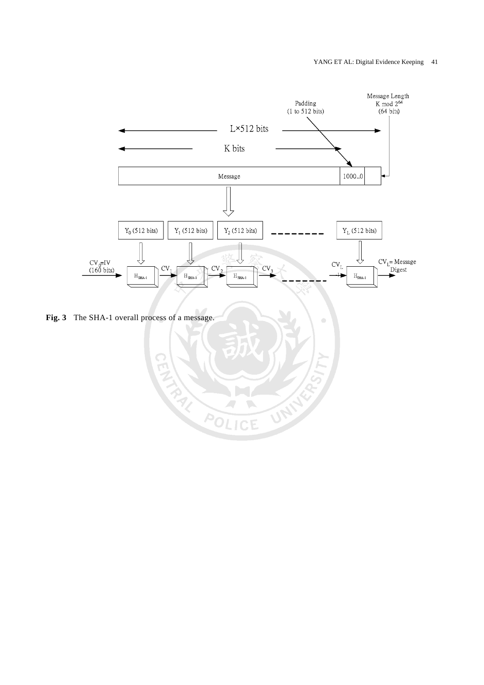

ó

UNITED

É

J

**Fig. 3** The SHA-1 overall process of a message.

**REACTED**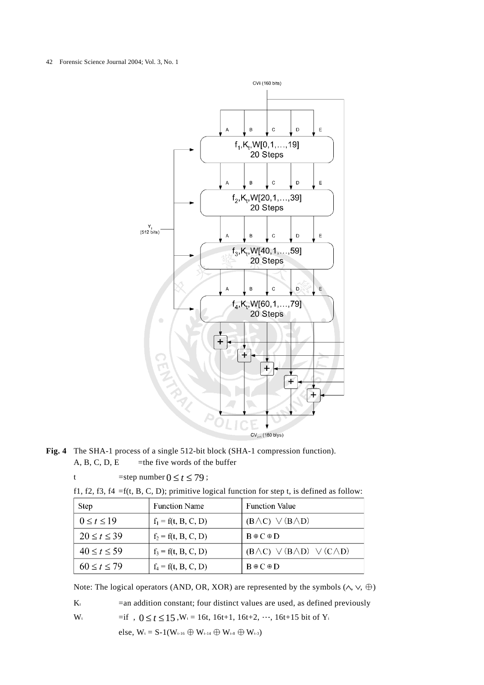#### 42 Forensic Science Journal 2004; Vol. 3, No. 1



**Fig. 4** The SHA-1 process of a single 512-bit block (SHA-1 compression function). A, B, C, D, E =the five words of the buffer

| . |  |  |                                 |  |  |  |  |  |  |
|---|--|--|---------------------------------|--|--|--|--|--|--|
|   |  |  | =step number $0 \le t \le 79$ ; |  |  |  |  |  |  |

|  |  |  |  |  |  | f1, f2, f3, f4 = f(t, B, C, D); primitive logical function for step t, is defined as follow: |  |  |  |  |
|--|--|--|--|--|--|----------------------------------------------------------------------------------------------|--|--|--|--|
|  |  |  |  |  |  |                                                                                              |  |  |  |  |

| <b>Step</b>        | <b>Function Name</b>  | <b>Function Value</b>                              |
|--------------------|-----------------------|----------------------------------------------------|
| $0 \leq t \leq 19$ | $f_1 = f(t, B, C, D)$ | $(B \wedge C)$ $\vee$ $(B \wedge D)$               |
| $20 \le t \le 39$  | $f_2 = f(t, B, C, D)$ | $B \oplus C \oplus D$                              |
| $40 \le t \le 59$  | $f_3 = f(t, B, C, D)$ | $(B \wedge C) \vee (B \wedge D) \vee (C \wedge D)$ |
| $60 \le t \le 79$  | $f_4 = f(t, B, C, D)$ | $B \oplus C \oplus D$                              |

Note: The logical operators (AND, OR, XOR) are represented by the symbols  $(\wedge, \vee, \oplus)$ 

 $K_t$  =an addition constant; four distinct values are used, as defined previously

W<sub>t</sub> =if ,  $0 \le t \le 15$ , W<sub>t</sub> = 16t, 16t+1, 16t+2, ..., 16t+15 bit of Y<sub>i</sub>

else,  $W_t = S-1(W_{t-16} \oplus W_{t-14} \oplus W_{t-8} \oplus W_{t-3})$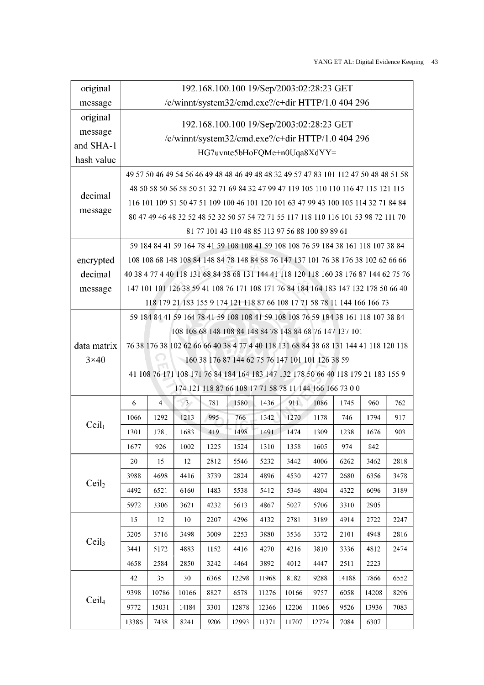| original                                                                          |                                                                                                                                                                                          |                                                                                    |                 |      | 192.168.100.100 19/Sep/2003:02:28:23 GET                                          |       |       |       |       |       |      |  |  |  |
|-----------------------------------------------------------------------------------|------------------------------------------------------------------------------------------------------------------------------------------------------------------------------------------|------------------------------------------------------------------------------------|-----------------|------|-----------------------------------------------------------------------------------|-------|-------|-------|-------|-------|------|--|--|--|
| message                                                                           |                                                                                                                                                                                          | /c/winnt/system32/cmd.exe?/c+dir HTTP/1.0 404 296                                  |                 |      |                                                                                   |       |       |       |       |       |      |  |  |  |
| original                                                                          | 192.168.100.100 19/Sep/2003:02:28:23 GET                                                                                                                                                 |                                                                                    |                 |      |                                                                                   |       |       |       |       |       |      |  |  |  |
| message                                                                           | /c/winnt/system32/cmd.exe?/c+dir HTTP/1.0 404 296                                                                                                                                        |                                                                                    |                 |      |                                                                                   |       |       |       |       |       |      |  |  |  |
| and SHA-1                                                                         | HG7uvnte5bHoFQMe+n0Uqa8XdYY=                                                                                                                                                             |                                                                                    |                 |      |                                                                                   |       |       |       |       |       |      |  |  |  |
| hash value                                                                        |                                                                                                                                                                                          |                                                                                    |                 |      |                                                                                   |       |       |       |       |       |      |  |  |  |
|                                                                                   | 49 57 50 46 49 54 56 46 49 48 48 46 49 48 48 32 49 57 47 83 101 112 47 50 48 48 51 58<br>48 50 58 50 56 58 50 51 32 71 69 84 32 47 99 47 119 105 110 110 116 47 115 121 115              |                                                                                    |                 |      |                                                                                   |       |       |       |       |       |      |  |  |  |
| decimal                                                                           |                                                                                                                                                                                          |                                                                                    |                 |      |                                                                                   |       |       |       |       |       |      |  |  |  |
| message                                                                           |                                                                                                                                                                                          | 116 101 109 51 50 47 51 109 100 46 101 120 101 63 47 99 43 100 105 114 32 71 84 84 |                 |      |                                                                                   |       |       |       |       |       |      |  |  |  |
|                                                                                   | 80 47 49 46 48 32 52 48 52 32 50 57 54 72 71 55 117 118 110 116 101 53 98 72 111 70                                                                                                      |                                                                                    |                 |      |                                                                                   |       |       |       |       |       |      |  |  |  |
|                                                                                   | 81 77 101 43 110 48 85 113 97 56 88 100 89 89 61                                                                                                                                         |                                                                                    |                 |      |                                                                                   |       |       |       |       |       |      |  |  |  |
| 59 184 84 41 59 164 78 41 59 108 108 41 59 108 108 76 59 184 38 161 118 107 38 84 |                                                                                                                                                                                          |                                                                                    |                 |      |                                                                                   |       |       |       |       |       |      |  |  |  |
|                                                                                   | 108 108 68 148 108 84 148 84 78 148 84 68 76 147 137 101 76 38 176 38 102 62 66 66<br>encrypted<br>40 38 4 77 4 40 118 131 68 84 38 68 131 144 41 118 120 118 160 38 176 87 144 62 75 76 |                                                                                    |                 |      |                                                                                   |       |       |       |       |       |      |  |  |  |
| decimal                                                                           |                                                                                                                                                                                          |                                                                                    |                 |      |                                                                                   |       |       |       |       |       |      |  |  |  |
| message                                                                           |                                                                                                                                                                                          | 147 101 101 126 38 59 41 108 76 171 108 171 76 84 184 164 183 147 132 178 50 66 40 |                 |      |                                                                                   |       |       |       |       |       |      |  |  |  |
|                                                                                   |                                                                                                                                                                                          | 118 179 21 183 155 9 174 121 118 87 66 108 17 71 58 78 11 144 166 166 73           |                 |      |                                                                                   |       |       |       |       |       |      |  |  |  |
|                                                                                   | 59 184 84 41 59 164 78 41 59 108 108 41 59 108 108 76 59 184 38 161 118 107 38 84                                                                                                        |                                                                                    |                 |      |                                                                                   |       |       |       |       |       |      |  |  |  |
|                                                                                   | 108 108 68 148 108 84 148 84 78 148 84 68 76 147 137 101                                                                                                                                 |                                                                                    |                 |      |                                                                                   |       |       |       |       |       |      |  |  |  |
| data matrix                                                                       | 76 38 176 38 102 62 66 66 40 38 4 77 4 40 118 131 68 84 38 68 131 144 41 118 120 118<br>160 38 176 87 144 62 75 76 147 101 101 126 38 59                                                 |                                                                                    |                 |      |                                                                                   |       |       |       |       |       |      |  |  |  |
| $3\times40$                                                                       |                                                                                                                                                                                          |                                                                                    |                 |      |                                                                                   |       |       |       |       |       |      |  |  |  |
|                                                                                   |                                                                                                                                                                                          |                                                                                    |                 |      | 41 108 76 171 108 171 76 84 184 164 183 147 132 178 50 66 40 118 179 21 183 155 9 |       |       |       |       |       |      |  |  |  |
|                                                                                   |                                                                                                                                                                                          |                                                                                    |                 |      | 174 121 118 87 66 108 17 71 58 78 11 144 166 166 73 00                            |       |       |       |       |       |      |  |  |  |
|                                                                                   | 6                                                                                                                                                                                        | $\overline{4}$                                                                     | $\overline{3}$  | 781  | 1580                                                                              | 1436  | 911   | 1086  | 1745  | 960   | 762  |  |  |  |
| Ceil <sub>1</sub>                                                                 | 1066                                                                                                                                                                                     | 1292                                                                               | 1213            | 995  | 766                                                                               | 1342  | 1270  | 1178  | 746   | 1794  | 917  |  |  |  |
|                                                                                   | 1301                                                                                                                                                                                     | 1781                                                                               | 1683            | 419  | 1498                                                                              | 1491  | 1474  | 1309  | 1238  | 1676  | 903  |  |  |  |
|                                                                                   | 1677                                                                                                                                                                                     | 926                                                                                | 1002            | 1225 | 1524                                                                              | 1310  | 1358  | 1605  | 974   | 842   |      |  |  |  |
|                                                                                   | 20                                                                                                                                                                                       | 15                                                                                 | 12              | 2812 | 5546                                                                              | 5232  | 3442  | 4006  | 6262  | 3462  | 2818 |  |  |  |
| Ceil <sub>2</sub>                                                                 | 3988                                                                                                                                                                                     | 4698                                                                               | 4416            | 3739 | 2824                                                                              | 4896  | 4530  | 4277  | 2680  | 6356  | 3478 |  |  |  |
|                                                                                   | 4492                                                                                                                                                                                     | 6521                                                                               | 6160            | 1483 | 5538                                                                              | 5412  | 5346  | 4804  | 4322  | 6096  | 3189 |  |  |  |
|                                                                                   | 5972                                                                                                                                                                                     | 3306                                                                               | 3621            | 4232 | 5613                                                                              | 4867  | 5027  | 5706  | 3310  | 2905  |      |  |  |  |
|                                                                                   | 15                                                                                                                                                                                       | 12                                                                                 | 10 <sup>°</sup> | 2207 | 4296                                                                              | 4132  | 2781  | 3189  | 4914  | 2722  | 2247 |  |  |  |
| Ceil <sub>3</sub>                                                                 | 3205                                                                                                                                                                                     | 3716                                                                               | 3498            | 3009 | 2253                                                                              | 3880  | 3536  | 3372  | 2101  | 4948  | 2816 |  |  |  |
|                                                                                   | 3441                                                                                                                                                                                     | 5172                                                                               | 4883            | 1152 | 4416                                                                              | 4270  | 4216  | 3810  | 3336  | 4812  | 2474 |  |  |  |
|                                                                                   | 4658                                                                                                                                                                                     | 2584                                                                               | 2850            | 3242 | 4464                                                                              | 3892  | 4012  | 4447  | 2511  | 2223  |      |  |  |  |
|                                                                                   | 42                                                                                                                                                                                       | 35                                                                                 | 30              | 6368 | 12298                                                                             | 11968 | 8182  | 9288  | 14188 | 7866  | 6552 |  |  |  |
| Ceil <sub>4</sub>                                                                 | 9398                                                                                                                                                                                     | 10786                                                                              | 10166           | 8827 | 6578                                                                              | 11276 | 10166 | 9757  | 6058  | 14208 | 8296 |  |  |  |
|                                                                                   | 9772                                                                                                                                                                                     | 15031                                                                              | 14184           | 3301 | 12878                                                                             | 12366 | 12206 | 11066 | 9526  | 13936 | 7083 |  |  |  |
|                                                                                   | 13386                                                                                                                                                                                    | 7438                                                                               | 8241            | 9206 | 12993                                                                             | 11371 | 11707 | 12774 | 7084  | 6307  |      |  |  |  |